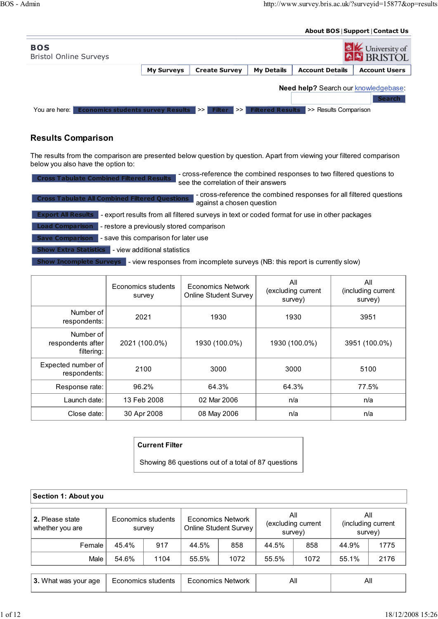## About BOS | Support | Contact Us

| <b>BOS</b><br><b>Bristol Online Surveys</b>                 |                   |                                    |                         |                                             | University of<br><b>AL</b> BRISTOL |
|-------------------------------------------------------------|-------------------|------------------------------------|-------------------------|---------------------------------------------|------------------------------------|
|                                                             | <b>My Surveys</b> | <b>Create Survey</b>               | <b>My Details</b>       | <b>Account Details</b>                      | <b>Account Users</b>               |
|                                                             |                   |                                    |                         | <b>Need help?</b> Search our knowledgebase: | <b>Search</b>                      |
| <b>Economics students survey Results</b><br>You are here: I |                   | / >>   <br><b>Filter</b><br>l >> l | <b>Filtered Results</b> | >> Results Comparison                       |                                    |

## Results Comparison

The results from the comparison are presented below question by question. Apart from viewing your filtered comparison below you also have the option to:

| - cross-reference the combined responses to two filtered questions to<br><b>Cross Tabulate Combined Filtered Results</b><br>see the correlation of their answers |
|------------------------------------------------------------------------------------------------------------------------------------------------------------------|
| - cross-reference the combined responses for all filtered questions<br><b>Cross Tabulate All Combined Filtered Questions</b><br>against a chosen question        |
| <b>Export All Results</b> - export results from all filtered surveys in text or coded format for use in other packages                                           |
| Load Comparison   - restore a previously stored comparison                                                                                                       |
| <b>Save Comparison</b><br>- save this comparison for later use                                                                                                   |
| <b>Show Extra Statistics</b><br>- view additional statistics                                                                                                     |
| Show Incomplete Surveys   - view responses from incomplete surveys (NB: this report is currently slow)                                                           |

|                                              | Economics students<br>survey | Economics Network<br><b>Online Student Survey</b> | All<br>(excluding current<br>survey) | All<br>(including current<br>survey) |
|----------------------------------------------|------------------------------|---------------------------------------------------|--------------------------------------|--------------------------------------|
| Number of<br>respondents:                    | 2021                         | 1930                                              | 1930                                 | 3951                                 |
| Number of<br>respondents after<br>filtering: | 2021 (100.0%)                | 1930 (100.0%)                                     | 1930 (100.0%)                        | 3951 (100.0%)                        |
| Expected number of<br>respondents:           | 2100                         | 3000                                              | 3000                                 | 5100                                 |
| Response rate:                               | 96.2%                        | 64.3%                                             | 64.3%                                | 77.5%                                |
| Launch date:                                 | 13 Feb 2008                  | 02 Mar 2006                                       | n/a                                  | n/a                                  |
| Close date:                                  | 30 Apr 2008                  | 08 May 2006                                       | n/a                                  | n/a                                  |

## Current Filter

Showing 86 questions out of a total of 87 questions

| Section 1: About you               |                    |                    |                                            |      |                                      |      |                                      |      |  |  |  |
|------------------------------------|--------------------|--------------------|--------------------------------------------|------|--------------------------------------|------|--------------------------------------|------|--|--|--|
| 2. Please state<br>whether you are | survey             | Economics students | Economics Network<br>Online Student Survey |      | All<br>(excluding current<br>survey) |      | All<br>(including current<br>survey) |      |  |  |  |
| Female                             | 45.4%              | 917                | 44.5%                                      | 858  | 44.5%                                | 858  | 44.9%                                | 1775 |  |  |  |
| Male                               | 54.6%              | 1104               | 55.5%                                      | 1072 | 55.5%                                | 1072 | 55.1%                                | 2176 |  |  |  |
|                                    |                    |                    |                                            |      |                                      |      |                                      |      |  |  |  |
| 3. What was your age               | Economics students |                    | <b>Economics Network</b>                   |      | All                                  |      | All                                  |      |  |  |  |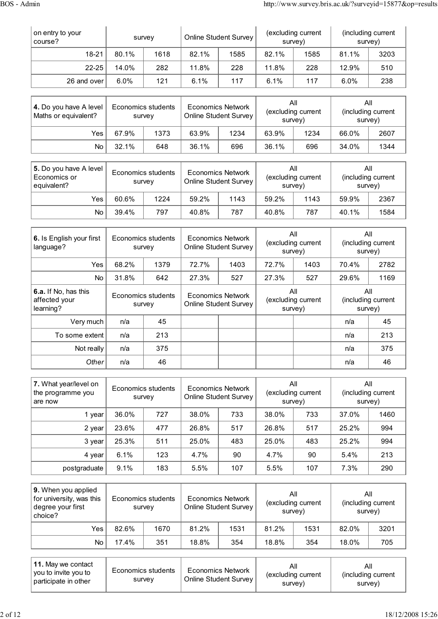| on entry to your<br>course? | survey  |      | <b>Online Student Survey</b> |      | (excluding current<br>survey) |      | (including current<br>survey) |      |
|-----------------------------|---------|------|------------------------------|------|-------------------------------|------|-------------------------------|------|
| $18 - 21$                   | 80.1%   | 1618 | 82.1%                        | 1585 | 82.1%                         | 1585 | 81.1%                         | 3203 |
| $22 - 25$                   | 14.0%   | 282  | 11.8%                        | 228  | 11.8%                         | 228  | 12.9%                         | 510  |
| 26 and over                 | $6.0\%$ | 121  | 6.1%                         | 117  | 6.1%                          | 117  | 6.0%                          | 238  |

| 4. Do you have A level<br>Maths or equivalent? | survey | Economics students | <b>Economics Network</b><br><b>Online Student Survey</b> |      | All<br>(excluding current<br>survey) |      | All<br>(including current<br>survey) |      |
|------------------------------------------------|--------|--------------------|----------------------------------------------------------|------|--------------------------------------|------|--------------------------------------|------|
| Yes                                            | 67.9%  | 1373               | 63.9%                                                    | 1234 | 63.9%                                | 1234 | 66.0%                                | 2607 |
| No                                             | 32.1%  | 648                | 36.1%                                                    | 696  | 36.1%                                | 696  | 34.0%                                | 1344 |

| 5. Do you have A level<br>Economics or<br>equivalent? | Economics students<br>survey |      | <b>Economics Network</b><br><b>Online Student Survey</b> |      | Αll<br>(excluding current<br>survey) |      | All<br>(including current<br>survey) |      |
|-------------------------------------------------------|------------------------------|------|----------------------------------------------------------|------|--------------------------------------|------|--------------------------------------|------|
| Yes                                                   | 60.6%                        | 1224 | 59.2%                                                    | 1143 | 59.2%                                | 1143 | 59.9%                                | 2367 |
| No.                                                   | 39.4%                        | 797  | 40.8%                                                    | 787  | 40.8%                                | 787  | 40.1%                                | 1584 |

| 6. Is English your first<br>language?              |                              | Economics students<br>survey |                                                          | Economics Network<br><b>Online Student Survey</b> | All<br>(excluding current<br>survey) |     | All<br>(including current<br>survey) |      |
|----------------------------------------------------|------------------------------|------------------------------|----------------------------------------------------------|---------------------------------------------------|--------------------------------------|-----|--------------------------------------|------|
| Yes                                                | 68.2%                        | 1379                         | 72.7%                                                    | 1403                                              | 72.7%<br>1403                        |     | 70.4%                                | 2782 |
| No                                                 | 31.8%                        | 642                          | 27.3%                                                    | 527                                               | 27.3%                                | 527 | 29.6%                                | 1169 |
| 6.a. If No, has this<br>affected your<br>learning? | Economics students<br>survey |                              | <b>Economics Network</b><br><b>Online Student Survey</b> |                                                   | All<br>(excluding current<br>survey) |     | All<br>(including current<br>survey) |      |
| Very much                                          | n/a                          | 45                           |                                                          |                                                   |                                      |     | n/a                                  | 45   |
| To some extent                                     | n/a                          | 213                          |                                                          |                                                   |                                      |     | n/a                                  | 213  |
| Not really                                         | n/a                          | 375                          |                                                          |                                                   |                                      |     | n/a                                  | 375  |
| Other                                              | n/a                          | 46                           |                                                          |                                                   |                                      |     | n/a                                  | 46   |

| 7. What year/level on<br>the programme you<br>are now | Economics students<br>survey |     | <b>Economics Network</b><br><b>Online Student Survey</b> |     | All<br>(excluding current<br>survey) |     | All<br>(including current<br>survey) |      |
|-------------------------------------------------------|------------------------------|-----|----------------------------------------------------------|-----|--------------------------------------|-----|--------------------------------------|------|
| 1 year                                                | 36.0%                        | 727 | 38.0%                                                    | 733 | 38.0%                                | 733 | 37.0%                                | 1460 |
| 2 year                                                | 23.6%                        | 477 | 26.8%                                                    | 517 | 26.8%                                | 517 | 25.2%                                | 994  |
| 3 year                                                | 25.3%                        | 511 | 25.0%                                                    | 483 | 25.0%                                | 483 | 25.2%                                | 994  |
| 4 year                                                | 6.1%                         | 123 | 4.7%                                                     | 90  | 4.7%                                 | 90  | 5.4%                                 | 213  |
| postgraduate                                          | 9.1%                         | 183 | 5.5%                                                     | 107 | 5.5%                                 | 107 | 7.3%                                 | 290  |

| 9. When you applied<br>for university, was this<br>degree your first<br>choice? |       | Economics students<br>survey | Economics Network<br><b>Online Student Survey</b> |      | All<br>(excluding current<br>survey) |      | All<br>(including current<br>survey) |      |
|---------------------------------------------------------------------------------|-------|------------------------------|---------------------------------------------------|------|--------------------------------------|------|--------------------------------------|------|
| Yes.                                                                            | 82.6% | 1670                         | 81.2%                                             | 1531 | 81.2%                                | 1531 | 82.0%                                | 3201 |
| No.                                                                             | 17.4% | 351                          | 18.8%                                             | 354  | 18.8%                                | 354  | 18.0%                                | 705  |

| $\vert$ 11. May we contact<br>vou to invite you to<br>participate in other | Economics students<br>survey | Economics Network<br><b>Online Student Survey</b> | Αll<br>(excluding current<br>survey) | Αll<br>(including current<br>survey) |
|----------------------------------------------------------------------------|------------------------------|---------------------------------------------------|--------------------------------------|--------------------------------------|
|----------------------------------------------------------------------------|------------------------------|---------------------------------------------------|--------------------------------------|--------------------------------------|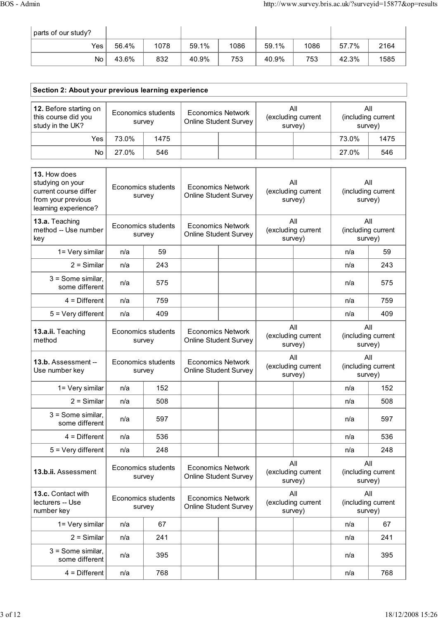٦

| parts of our study? |       |      |       |      |       |      |       |      |
|---------------------|-------|------|-------|------|-------|------|-------|------|
| Yes                 | 56.4% | 1078 | 59.1% | 1086 | 59.1% | 1086 | 57.7% | 2164 |
| No.                 | 43.6% | 832  | 40.9% | 753  | 40.9% | 753  | 42.3% | 1585 |

| Section 2: About your previous learning experience                                                      |                              |                                     |                                                          |  |                                      |       |                                      |
|---------------------------------------------------------------------------------------------------------|------------------------------|-------------------------------------|----------------------------------------------------------|--|--------------------------------------|-------|--------------------------------------|
| 12. Before starting on<br>this course did you<br>study in the UK?                                       | Economics students<br>survey |                                     | <b>Economics Network</b><br><b>Online Student Survey</b> |  | All<br>(excluding current<br>survey) |       | All<br>(including current<br>survey) |
| Yes                                                                                                     | 73.0%                        | 1475                                |                                                          |  |                                      | 73.0% | 1475                                 |
| No                                                                                                      | 27.0%                        | 546                                 |                                                          |  |                                      | 27.0% | 546                                  |
| 13. How does<br>studying on your<br>current course differ<br>from your previous<br>learning experience? |                              | <b>Economics students</b><br>survey | <b>Economics Network</b><br><b>Online Student Survey</b> |  | All<br>(excluding current<br>survey) |       | All<br>(including current<br>survey) |
| 13.a. Teaching<br>method -- Use number<br>key                                                           |                              | Economics students<br>survey        | <b>Economics Network</b><br><b>Online Student Survey</b> |  | All<br>(excluding current<br>survey) |       | All<br>(including current<br>survey) |
| 1= Very similar                                                                                         | n/a                          | 59                                  |                                                          |  |                                      | n/a   | 59                                   |
| $2 =$ Similar                                                                                           | n/a                          | 243                                 |                                                          |  |                                      | n/a   | 243                                  |
| $3 =$ Some similar,<br>some different                                                                   | n/a                          | 575                                 |                                                          |  |                                      | n/a   | 575                                  |
| $4 =$ Different                                                                                         | n/a                          | 759                                 |                                                          |  |                                      | n/a   | 759                                  |
| $5 = \text{Very different}$                                                                             | n/a                          | 409                                 |                                                          |  |                                      | n/a   | 409                                  |
| 13.a.ii. Teaching<br>method                                                                             |                              | Economics students<br>survey        | <b>Economics Network</b><br>Online Student Survey        |  | All<br>(excluding current<br>survey) |       | All<br>(including current<br>survey) |
| 13.b. Assessment --<br>Use number key                                                                   |                              | <b>Economics students</b><br>survey | <b>Economics Network</b><br><b>Online Student Survey</b> |  | All<br>(excluding current<br>survey) |       | All<br>(including current<br>survey) |
| 1= Very similar                                                                                         | n/a                          | 152                                 |                                                          |  |                                      | n/a   | 152                                  |
| $2 =$ Similar                                                                                           | n/a                          | 508                                 |                                                          |  |                                      | n/a   | 508                                  |
| 3 = Some similar,<br>some different                                                                     | n/a                          | 597                                 |                                                          |  |                                      | n/a   | 597                                  |
| $4 =$ Different                                                                                         | n/a                          | 536                                 |                                                          |  |                                      | n/a   | 536                                  |
| $5 = V$ ery different                                                                                   | n/a                          | 248                                 |                                                          |  |                                      | n/a   | 248                                  |
| 13.b.ii. Assessment                                                                                     |                              | Economics students<br>survey        | <b>Economics Network</b><br><b>Online Student Survey</b> |  | All<br>(excluding current<br>survey) |       | All<br>(including current<br>survey) |
| 13.c. Contact with<br>lecturers -- Use<br>number key                                                    |                              | <b>Economics students</b><br>survey | <b>Economics Network</b><br>Online Student Survey        |  | All<br>(excluding current<br>survey) |       | All<br>(including current<br>survey) |
| $1 = \text{Very similar}$                                                                               | n/a                          | 67                                  |                                                          |  |                                      | n/a   | 67                                   |
| $2 =$ Similar                                                                                           | n/a                          | 241                                 |                                                          |  |                                      | n/a   | 241                                  |
| $3 =$ Some similar,<br>some different                                                                   | n/a                          | 395                                 |                                                          |  |                                      | n/a   | 395                                  |

4 = Different n/a 768 n/a 768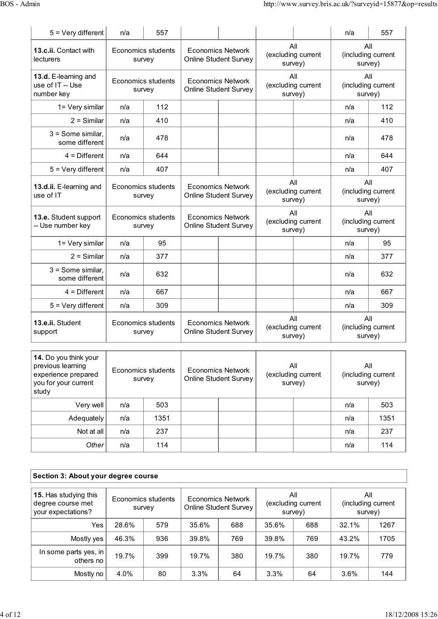| $5 = V$ ery different                                                                              | n/a | 557                          |                                                          |                                      | n/a | 557                                  |
|----------------------------------------------------------------------------------------------------|-----|------------------------------|----------------------------------------------------------|--------------------------------------|-----|--------------------------------------|
| 13.c.ii. Contact with<br><b>lecturers</b>                                                          |     | Economics students<br>survey | <b>Economics Network</b><br><b>Online Student Survey</b> | All<br>(excluding current<br>survey) |     | All<br>(including current<br>survey) |
| 13.d. E-learning and<br>use of IT -- Use<br>number key                                             |     | Economics students<br>survey | <b>Economics Network</b><br><b>Online Student Survey</b> | All<br>(excluding current<br>survey) |     | All<br>(including current<br>survey) |
| 1= Very similar                                                                                    | n/a | 112                          |                                                          |                                      | n/a | 112                                  |
| $2 =$ Similar                                                                                      | n/a | 410                          |                                                          |                                      | n/a | 410                                  |
| $3 =$ Some similar,<br>some different                                                              | n/a | 478                          |                                                          |                                      | n/a | 478                                  |
| $4$ = Different                                                                                    | n/a | 644                          |                                                          |                                      | n/a | 644                                  |
| $5 = Very$ different                                                                               | n/a | 407                          |                                                          |                                      | n/a | 407                                  |
| 13.d.ii. E-learning and<br>use of IT                                                               |     | Economics students<br>survey | <b>Economics Network</b><br><b>Online Student Survey</b> | All<br>(excluding current<br>survey) |     | All<br>(including current<br>survey) |
| 13.e. Student support<br>-- Use number key                                                         |     | Economics students<br>survey | <b>Economics Network</b><br><b>Online Student Survey</b> | All<br>(excluding current<br>survey) |     | All<br>(including current<br>survey) |
| 1= Very similar                                                                                    | n/a | 95                           |                                                          |                                      | n/a | 95                                   |
| $2 =$ Similar                                                                                      | n/a | 377                          |                                                          |                                      | n/a | 377                                  |
| $3 =$ Some similar,<br>some different                                                              | n/a | 632                          |                                                          |                                      | n/a | 632                                  |
| $4$ = Different                                                                                    | n/a | 667                          |                                                          |                                      | n/a | 667                                  |
| $5 = Very$ different                                                                               | n/a | 309                          |                                                          |                                      | n/a | 309                                  |
| 13.e.ii. Student<br>support                                                                        |     | Economics students<br>survey | <b>Economics Network</b><br>Online Student Survey        | All<br>(excluding current<br>survey) |     | All<br>(including current<br>survey) |
| 14. Do you think your<br>previous learning<br>experience prepared<br>you for your current<br>study |     | Economics students<br>survey | <b>Economics Network</b><br><b>Online Student Survey</b> | All<br>(excluding current<br>survey) |     | All<br>(including current<br>survey) |
| Very well                                                                                          | n/a | 503                          |                                                          |                                      | n/a | 503                                  |
| Adequately                                                                                         | n/a | 1351                         |                                                          |                                      | n/a | 1351                                 |

| Section 3: About your degree course |
|-------------------------------------|
|                                     |

| 15. Has studying this<br>degree course met<br>your expectations? |       | Economics students<br>survey | Economics Network<br>Online Student Survey |     | All<br>(excluding current<br>survey) |     | All<br>(including current<br>survey) |      |
|------------------------------------------------------------------|-------|------------------------------|--------------------------------------------|-----|--------------------------------------|-----|--------------------------------------|------|
| Yes                                                              | 28.6% | 579                          | 35.6%                                      | 688 | 35.6%                                | 688 | 32.1%                                | 1267 |
| Mostly yes                                                       | 46.3% | 936                          | 39.8%                                      | 769 | 39.8%                                | 769 | 43.2%                                | 1705 |
| In some parts yes, in<br>others no                               | 19.7% | 399                          | 19.7%                                      | 380 | 19.7%                                | 380 | 19.7%                                | 779  |
| Mostly no                                                        | 4.0%  | 80                           | 3.3%                                       | 64  | 3.3%                                 | 64  | 3.6%                                 | 144  |

Not at all n/a 237 n/a 237 Other n/a 114 n/a 114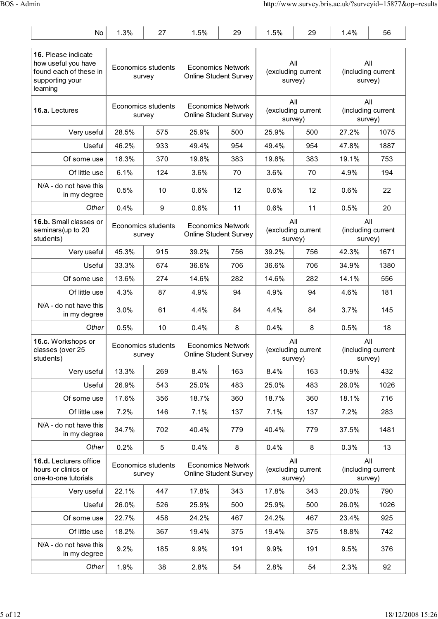| No                                                                                                  | 1.3%  | 27                           | 1.5%  | 29                                                       | 1.5%  | 29                                   | 1.4%  | 56                                   |
|-----------------------------------------------------------------------------------------------------|-------|------------------------------|-------|----------------------------------------------------------|-------|--------------------------------------|-------|--------------------------------------|
| 16. Please indicate<br>how useful you have<br>found each of these in<br>supporting your<br>learning |       | Economics students<br>survey |       | <b>Economics Network</b><br><b>Online Student Survey</b> |       | All<br>(excluding current<br>survey) |       | All<br>(including current<br>survey) |
| 16.a. Lectures                                                                                      |       | Economics students<br>survey |       | <b>Economics Network</b><br><b>Online Student Survey</b> |       | All<br>(excluding current<br>survey) |       | All<br>(including current<br>survey) |
| Very useful                                                                                         | 28.5% | 575                          | 25.9% | 500                                                      | 25.9% | 500                                  | 27.2% | 1075                                 |
| Useful                                                                                              | 46.2% | 933                          | 49.4% | 954                                                      | 49.4% | 954                                  | 47.8% | 1887                                 |
| Of some use                                                                                         | 18.3% | 370                          | 19.8% | 383                                                      | 19.8% | 383                                  | 19.1% | 753                                  |
| Of little use                                                                                       | 6.1%  | 124                          | 3.6%  | 70                                                       | 3.6%  | 70                                   | 4.9%  | 194                                  |
| N/A - do not have this<br>in my degree                                                              | 0.5%  | 10                           | 0.6%  | 12                                                       | 0.6%  | 12                                   | 0.6%  | 22                                   |
| Other                                                                                               | 0.4%  | 9                            | 0.6%  | 11                                                       | 0.6%  | 11                                   | 0.5%  | 20                                   |
| 16.b. Small classes or<br>seminars (up to 20<br>students)                                           |       | Economics students<br>survey |       | <b>Economics Network</b><br><b>Online Student Survey</b> |       | All<br>(excluding current<br>survey) |       | All<br>(including current<br>survey) |
| Very useful                                                                                         | 45.3% | 915                          | 39.2% | 756                                                      | 39.2% | 756                                  | 42.3% | 1671                                 |
| Useful                                                                                              | 33.3% | 674                          | 36.6% | 706                                                      | 36.6% | 706                                  | 34.9% | 1380                                 |
| Of some use                                                                                         | 13.6% | 274                          | 14.6% | 282                                                      | 14.6% | 282                                  | 14.1% | 556                                  |
| Of little use                                                                                       | 4.3%  | 87                           | 4.9%  | 94                                                       | 4.9%  | 94                                   | 4.6%  | 181                                  |
| N/A - do not have this<br>in my degree                                                              | 3.0%  | 61                           | 4.4%  | 84                                                       | 4.4%  | 84                                   | 3.7%  | 145                                  |
| Other                                                                                               | 0.5%  | 10                           | 0.4%  | 8                                                        | 0.4%  | 8                                    | 0.5%  | 18                                   |
| 16.c. Workshops or<br>classes (over 25<br>students)                                                 |       | Economics students<br>survey |       | <b>Economics Network</b><br>Online Student Survey        |       | All<br>(excluding current<br>survey) |       | All<br>(including current<br>survey) |
| Very useful                                                                                         | 13.3% | 269                          | 8.4%  | 163                                                      | 8.4%  | 163                                  | 10.9% | 432                                  |
| Useful                                                                                              | 26.9% | 543                          | 25.0% | 483                                                      | 25.0% | 483                                  | 26.0% | 1026                                 |
| Of some use                                                                                         | 17.6% | 356                          | 18.7% | 360                                                      | 18.7% | 360                                  | 18.1% | 716                                  |
| Of little use                                                                                       | 7.2%  | 146                          | 7.1%  | 137                                                      | 7.1%  | 137                                  | 7.2%  | 283                                  |
| N/A - do not have this<br>in my degree                                                              | 34.7% | 702                          | 40.4% | 779                                                      | 40.4% | 779                                  | 37.5% | 1481                                 |
| Other                                                                                               | 0.2%  | 5                            | 0.4%  | 8                                                        | 0.4%  | 8                                    | 0.3%  | 13                                   |
| 16.d. Lecturers office<br>hours or clinics or<br>one-to-one tutorials                               |       | Economics students<br>survey |       | <b>Economics Network</b><br><b>Online Student Survey</b> |       | All<br>(excluding current<br>survey) |       | All<br>(including current<br>survey) |
| Very useful                                                                                         | 22.1% | 447                          | 17.8% | 343                                                      | 17.8% | 343                                  | 20.0% | 790                                  |
| Useful                                                                                              | 26.0% | 526                          | 25.9% | 500                                                      | 25.9% | 500                                  | 26.0% | 1026                                 |
| Of some use                                                                                         | 22.7% | 458                          | 24.2% | 467                                                      | 24.2% | 467                                  | 23.4% | 925                                  |
| Of little use                                                                                       | 18.2% | 367                          | 19.4% | 375                                                      | 19.4% | 375                                  | 18.8% | 742                                  |
| N/A - do not have this<br>in my degree                                                              | 9.2%  | 185                          | 9.9%  | 191                                                      | 9.9%  | 191                                  | 9.5%  | 376                                  |
| Other                                                                                               | 1.9%  | 38                           | 2.8%  | 54                                                       | 2.8%  | 54                                   | 2.3%  | 92                                   |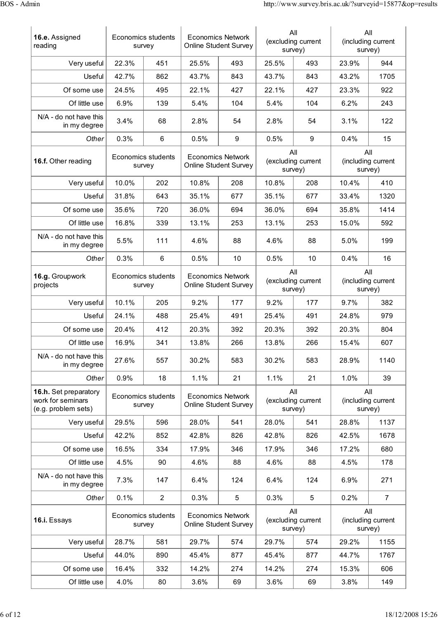| 16.e. Assigned<br>reading                                         |                              | Economics students<br>survey |                                                          | <b>Economics Network</b><br><b>Online Student Survey</b> |                                      | All<br>(excluding current<br>survey) | All<br>survey)                       | (including current                   |
|-------------------------------------------------------------------|------------------------------|------------------------------|----------------------------------------------------------|----------------------------------------------------------|--------------------------------------|--------------------------------------|--------------------------------------|--------------------------------------|
| Very useful                                                       | 22.3%                        | 451                          | 25.5%                                                    | 493                                                      | 25.5%                                | 493                                  | 23.9%                                | 944                                  |
| Useful                                                            | 42.7%                        | 862                          | 43.7%                                                    | 843                                                      | 43.7%                                | 843                                  | 43.2%                                | 1705                                 |
| Of some use                                                       | 24.5%                        | 495                          | 22.1%                                                    | 427                                                      | 22.1%                                | 427                                  | 23.3%                                | 922                                  |
| Of little use                                                     | 6.9%                         | 139                          | 5.4%                                                     | 104                                                      | 5.4%                                 | 104                                  | 6.2%                                 | 243                                  |
| N/A - do not have this<br>in my degree                            | 3.4%                         | 68                           | 2.8%                                                     | 54                                                       | 2.8%                                 | 54                                   | 3.1%                                 | 122                                  |
| Other                                                             | 0.3%                         | 6                            | 0.5%                                                     | 9                                                        | 0.5%                                 | 9                                    | 0.4%                                 | 15                                   |
| 16.f. Other reading                                               | Economics students<br>survey |                              |                                                          | <b>Economics Network</b><br><b>Online Student Survey</b> |                                      | All<br>(excluding current<br>survey) |                                      | All<br>(including current<br>survey) |
| Very useful                                                       | 10.0%                        | 202                          | 10.8%                                                    | 208                                                      | 10.8%                                | 208                                  | 10.4%                                | 410                                  |
| Useful                                                            | 31.8%                        | 643                          | 35.1%                                                    | 677                                                      | 35.1%                                | 677                                  | 33.4%                                | 1320                                 |
| Of some use                                                       | 35.6%                        | 720                          | 36.0%                                                    | 694                                                      | 36.0%                                | 694                                  | 35.8%                                | 1414                                 |
| Of little use                                                     | 16.8%                        | 339                          | 13.1%                                                    | 253                                                      | 13.1%                                | 253                                  | 15.0%                                | 592                                  |
| N/A - do not have this<br>in my degree                            | 5.5%                         | 111                          | 4.6%                                                     | 88                                                       | 4.6%                                 | 88                                   | 5.0%                                 | 199                                  |
| Other                                                             | 0.3%                         | 6                            | 0.5%                                                     | 10                                                       | 0.5%                                 | 10                                   | 0.4%                                 | 16                                   |
| 16.g. Groupwork<br>projects                                       | Economics students<br>survey |                              | <b>Economics Network</b><br><b>Online Student Survey</b> |                                                          | All<br>(excluding current<br>survey) |                                      | All<br>(including current<br>survey) |                                      |
| Very useful                                                       | 10.1%                        | 205                          | 9.2%                                                     | 177                                                      | 9.2%                                 | 177                                  | 9.7%                                 | 382                                  |
| Useful                                                            | 24.1%                        | 488                          | 25.4%                                                    | 491                                                      | 25.4%                                | 491                                  | 24.8%                                | 979                                  |
| Of some use                                                       | 20.4%                        | 412                          | 20.3%                                                    | 392                                                      | 20.3%                                | 392                                  | 20.3%                                | 804                                  |
| Of little use                                                     | 16.9%                        | 341                          | 13.8%                                                    | 266                                                      | 13.8%                                | 266                                  | 15.4%                                | 607                                  |
| N/A - do not have this<br>in my degree                            | 27.6%                        | 557                          | 30.2%                                                    | 583                                                      | 30.2%                                | 583                                  | 28.9%                                | 1140                                 |
| Other                                                             | 0.9%                         | 18                           | 1.1%                                                     | 21                                                       | 1.1%                                 | 21                                   | 1.0%                                 | 39                                   |
| 16.h. Set preparatory<br>work for seminars<br>(e.g. problem sets) |                              | Economics students<br>survey |                                                          | <b>Economics Network</b><br><b>Online Student Survey</b> | All<br>(excluding current<br>survey) |                                      | All<br>(including current<br>survey) |                                      |
| Very useful                                                       | 29.5%                        | 596                          | 28.0%                                                    | 541                                                      | 28.0%                                | 541                                  | 28.8%                                | 1137                                 |
| Useful                                                            | 42.2%                        | 852                          | 42.8%                                                    | 826                                                      | 42.8%                                | 826                                  | 42.5%                                | 1678                                 |
| Of some use                                                       | 16.5%                        | 334                          | 17.9%                                                    | 346                                                      | 17.9%                                | 346                                  | 17.2%                                | 680                                  |
| Of little use                                                     | 4.5%                         | 90                           | 4.6%                                                     | 88                                                       | 4.6%                                 | 88                                   | 4.5%                                 | 178                                  |
| N/A - do not have this<br>in my degree                            | 7.3%                         | 147                          | 6.4%                                                     | 124                                                      | 6.4%                                 | 124                                  | 6.9%                                 | 271                                  |
| Other                                                             | 0.1%                         | $\overline{c}$               | 0.3%                                                     | 5                                                        | 0.3%                                 | 5                                    | 0.2%                                 | $\overline{7}$                       |
| 16.i. Essays                                                      |                              | Economics students<br>survey |                                                          | <b>Economics Network</b><br>Online Student Survey        |                                      | All<br>(excluding current<br>survey) | All<br>survey)                       | (including current                   |
| Very useful                                                       | 28.7%                        | 581                          | 29.7%                                                    | 574                                                      | 29.7%                                | 574                                  | 29.2%                                | 1155                                 |
| Useful                                                            | 44.0%                        | 890                          | 45.4%                                                    | 877                                                      | 45.4%                                | 877                                  | 44.7%                                | 1767                                 |
| Of some use                                                       | 16.4%                        | 332                          | 14.2%                                                    | 274                                                      | 14.2%                                | 274                                  | 15.3%                                | 606                                  |
| Of little use                                                     | 4.0%                         | 80                           | 3.6%                                                     | 69                                                       | 3.6%                                 | 69                                   | 3.8%                                 | 149                                  |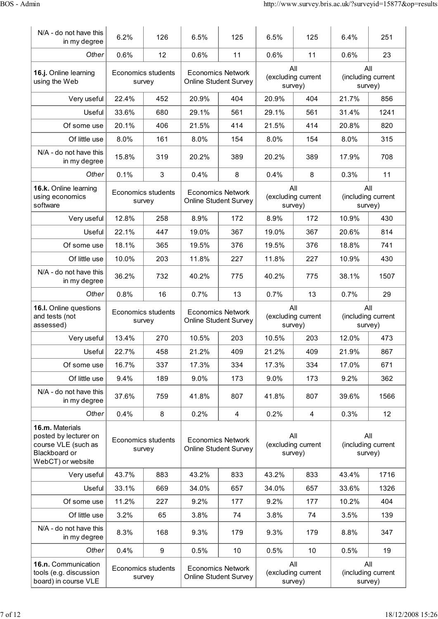| N/A - do not have this<br>in my degree                                                                | 6.2%   | 126                          | 6.5%                                                     | 125                                                      | 6.5%                                 | 125                           | 6.4%                                 | 251                       |
|-------------------------------------------------------------------------------------------------------|--------|------------------------------|----------------------------------------------------------|----------------------------------------------------------|--------------------------------------|-------------------------------|--------------------------------------|---------------------------|
| Other                                                                                                 | 0.6%   | 12                           | 0.6%                                                     | 11                                                       | 0.6%                                 | 11                            | 0.6%                                 | 23                        |
| 16.j. Online learning<br>using the Web                                                                |        | Economics students<br>survey | <b>Economics Network</b><br><b>Online Student Survey</b> |                                                          | All<br>(excluding current<br>survey) |                               | All<br>(including current<br>survey) |                           |
| Very useful                                                                                           | 22.4%  | 452                          | 20.9%                                                    | 404                                                      | 20.9%                                | 404                           | 21.7%                                | 856                       |
| Useful                                                                                                | 33.6%  | 680                          | 29.1%                                                    | 561                                                      | 29.1%                                | 561                           | 31.4%                                | 1241                      |
| Of some use                                                                                           | 20.1%  | 406                          | 21.5%                                                    | 414                                                      | 21.5%                                | 414                           | 20.8%                                | 820                       |
| Of little use                                                                                         | 8.0%   | 161                          | 8.0%                                                     | 154                                                      | 8.0%                                 | 154                           | 8.0%                                 | 315                       |
| N/A - do not have this<br>in my degree                                                                | 15.8%  | 319                          | 20.2%                                                    | 389                                                      | 20.2%                                | 389                           | 17.9%                                | 708                       |
| Other                                                                                                 | 0.1%   | 3                            | 0.4%                                                     | 8                                                        | 0.4%                                 | 8                             | 0.3%                                 | 11                        |
| 16.k. Online learning<br>using economics<br>software                                                  |        | Economics students<br>survey |                                                          | <b>Economics Network</b><br><b>Online Student Survey</b> | All<br>survey)                       | (excluding current            | All<br>survey)                       | (including current        |
| Very useful                                                                                           | 12.8%  | 258                          | 8.9%                                                     | 172                                                      | 8.9%                                 | 172                           | 10.9%                                | 430                       |
| Useful                                                                                                | 22.1%  | 447                          | 19.0%                                                    | 367                                                      | 19.0%                                | 367                           | 20.6%                                | 814                       |
| Of some use                                                                                           | 18.1%  | 365                          | 19.5%                                                    | 376                                                      | 19.5%                                | 376                           | 18.8%                                | 741                       |
| Of little use                                                                                         | 10.0%  | 203                          | 11.8%                                                    | 227                                                      | 11.8%                                | 227                           | 10.9%                                | 430                       |
| N/A - do not have this<br>in my degree                                                                | 36.2%  | 732                          | 40.2%                                                    | 775                                                      | 40.2%                                | 775                           | 38.1%                                | 1507                      |
| Other                                                                                                 | 0.8%   | 16                           | 0.7%                                                     | 13                                                       | 0.7%                                 | 13                            | 0.7%                                 | 29                        |
| 16.I. Online questions                                                                                |        |                              |                                                          |                                                          |                                      |                               |                                      |                           |
| and tests (not<br>assessed)                                                                           | survey | <b>Economics students</b>    |                                                          | <b>Economics Network</b><br>Online Student Survey        | All                                  | (excluding current<br>survey) | survey)                              | All<br>(including current |
| Very useful                                                                                           | 13.4%  | 270                          | 10.5%                                                    | 203                                                      | 10.5%                                | 203                           | 12.0%                                | 473                       |
| Useful                                                                                                | 22.7%  | 458                          | 21.2%                                                    | 409                                                      | 21.2%                                | 409                           | 21.9%                                | 867                       |
| Of some use                                                                                           | 16.7%  | 337                          | 17.3%                                                    | 334                                                      | 17.3%                                | 334                           | 17.0%                                | 671                       |
| Of little use                                                                                         | 9.4%   | 189                          | 9.0%                                                     | 173                                                      | 9.0%                                 | 173                           | 9.2%                                 | 362                       |
| N/A - do not have this<br>in my degree                                                                | 37.6%  | 759                          | 41.8%                                                    | 807                                                      | 41.8%                                | 807                           | 39.6%                                | 1566                      |
| Other                                                                                                 | 0.4%   | 8                            | 0.2%                                                     | 4                                                        | 0.2%                                 | 4                             | 0.3%                                 | 12                        |
| 16.m. Materials<br>posted by lecturer on<br>course VLE (such as<br>Blackboard or<br>WebCT) or website |        | Economics students<br>survey |                                                          | <b>Economics Network</b><br><b>Online Student Survey</b> | All<br>survey)                       | (excluding current            | All<br>survey)                       | (including current        |
| Very useful                                                                                           | 43.7%  | 883                          | 43.2%                                                    | 833                                                      | 43.2%                                | 833                           | 43.4%                                | 1716                      |
| Useful                                                                                                | 33.1%  | 669                          | 34.0%                                                    | 657                                                      | 34.0%                                | 657                           | 33.6%                                | 1326                      |
| Of some use                                                                                           | 11.2%  | 227                          | 9.2%                                                     | 177                                                      | 9.2%                                 | 177                           | 10.2%                                | 404                       |
| Of little use                                                                                         | 3.2%   | 65                           | 3.8%                                                     | 74                                                       | 3.8%                                 | 74                            | 3.5%                                 | 139                       |
| N/A - do not have this<br>in my degree                                                                | 8.3%   | 168                          | 9.3%                                                     | 179                                                      | 9.3%                                 | 179                           | 8.8%                                 | 347                       |
| Other                                                                                                 | 0.4%   | 9                            | 0.5%                                                     | 10                                                       | 0.5%                                 | 10                            | 0.5%                                 | 19                        |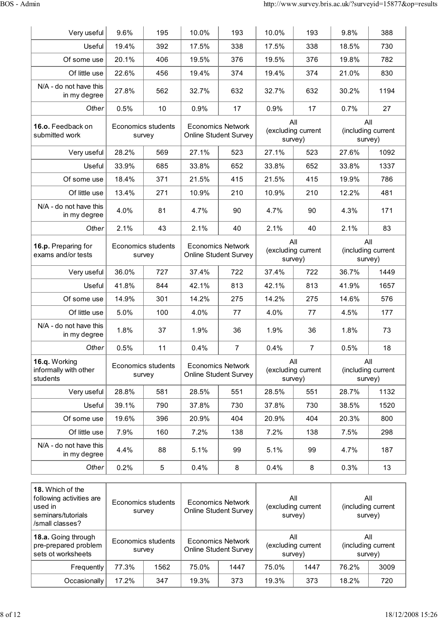| Very useful                                        | 9.6%  | 195                          | 10.0% | 193                                                      | 10.0%          | 193                | 9.8%           | 388                           |
|----------------------------------------------------|-------|------------------------------|-------|----------------------------------------------------------|----------------|--------------------|----------------|-------------------------------|
| Useful                                             | 19.4% | 392                          | 17.5% | 338                                                      | 17.5%          | 338                | 18.5%          | 730                           |
| Of some use                                        | 20.1% | 406                          | 19.5% | 376                                                      | 19.5%          | 376                | 19.8%          | 782                           |
| Of little use                                      | 22.6% | 456                          | 19.4% | 374                                                      | 19.4%          | 374                | 21.0%          | 830                           |
| N/A - do not have this<br>in my degree             | 27.8% | 562                          | 32.7% | 632                                                      | 32.7%          | 632                | 30.2%          | 1194                          |
| Other                                              | 0.5%  | 10                           | 0.9%  | 17                                                       | 0.9%           | 17                 | 0.7%           | 27                            |
| 16.o. Feedback on<br>submitted work                |       | Economics students<br>survey |       | <b>Economics Network</b><br><b>Online Student Survey</b> | All<br>survey) | (excluding current | All<br>survey) | (including current            |
| Very useful                                        | 28.2% | 569                          | 27.1% | 523                                                      | 27.1%          | 523                | 27.6%          | 1092                          |
| Useful                                             | 33.9% | 685                          | 33.8% | 652                                                      | 33.8%          | 652                | 33.8%          | 1337                          |
| Of some use                                        | 18.4% | 371                          | 21.5% | 415                                                      | 21.5%          | 415                | 19.9%          | 786                           |
| Of little use                                      | 13.4% | 271                          | 10.9% | 210                                                      | 10.9%          | 210                | 12.2%          | 481                           |
| N/A - do not have this<br>in my degree             | 4.0%  | 81                           | 4.7%  | 90                                                       | 4.7%           | 90                 | 4.3%           | 171                           |
| Other                                              | 2.1%  | 43                           | 2.1%  | 40                                                       | 2.1%           | 40                 | 2.1%           | 83                            |
| 16.p. Preparing for<br>exams and/or tests          |       | Economics students<br>survey |       | <b>Economics Network</b><br><b>Online Student Survey</b> | All<br>survey) | (excluding current | All<br>survey) | (including current            |
| Very useful                                        | 36.0% | 727                          | 37.4% | 722                                                      | 37.4%          | 722                | 36.7%          | 1449                          |
| Useful                                             | 41.8% | 844                          | 42.1% | 813                                                      | 42.1%          | 813                | 41.9%          | 1657                          |
| Of some use                                        | 14.9% | 301                          | 14.2% | 275                                                      | 14.2%          | 275                | 14.6%          | 576                           |
| Of little use                                      | 5.0%  | 100                          | 4.0%  | 77                                                       | 4.0%           | 77                 | 4.5%           | 177                           |
| N/A - do not have this<br>in my degree             | 1.8%  | 37                           | 1.9%  | 36                                                       | 1.9%           | 36                 | 1.8%           | 73                            |
| Other                                              | 0.5%  | 11                           | 0.4%  | $\overline{7}$                                           | 0.4%           | $\overline{7}$     | 0.5%           | 18                            |
| 16.q. Working<br>informally with other<br>students |       | Economics students<br>survey |       | <b>Economics Network</b><br><b>Online Student Survey</b> | All<br>survey) | (excluding current | All            | (including current<br>survey) |
| Very useful                                        | 28.8% | 581                          | 28.5% | 551                                                      | 28.5%          | 551                | 28.7%          | 1132                          |
| Useful                                             | 39.1% | 790                          | 37.8% | 730                                                      | 37.8%          | 730                | 38.5%          | 1520                          |
| Of some use                                        | 19.6% | 396                          | 20.9% | 404                                                      | 20.9%          | 404                | 20.3%          | 800                           |
| Of little use                                      | 7.9%  | 160                          | 7.2%  | 138                                                      | 7.2%           | 138                | 7.5%           | 298                           |
| N/A - do not have this<br>in my degree             | 4.4%  | 88                           | 5.1%  | 99                                                       | 5.1%           | 99                 | 4.7%           | 187                           |
| Other                                              | 0.2%  | $\,$ 5 $\,$                  | 0.4%  | 8                                                        | 0.4%           | 8                  | 0.3%           | 13                            |

| <b>18.</b> Which of the<br>following activities are<br>used in<br>seminars/tutorials<br>/small classes? |       | Economics students<br>survey | <b>Economics Network</b><br>Online Student Survey |      | All<br>(excluding current<br>survey) |                    | All<br>(including current<br>survey) |                                      |
|---------------------------------------------------------------------------------------------------------|-------|------------------------------|---------------------------------------------------|------|--------------------------------------|--------------------|--------------------------------------|--------------------------------------|
| <b>18.a.</b> Going through<br>pre-prepared problem<br>sets of worksheets                                |       | Economics students<br>survey | Economics Network<br><b>Online Student Survey</b> |      | All<br>survey)                       | (excluding current |                                      | All<br>(including current<br>survey) |
| Frequently                                                                                              | 77.3% | 1562                         | 75.0%                                             | 1447 | 75.0%                                | 1447               | 76.2%                                | 3009                                 |
| Occasionally                                                                                            | 17.2% | 347                          | 19.3%                                             | 373  | 19.3%                                | 373                | 18.2%                                | 720                                  |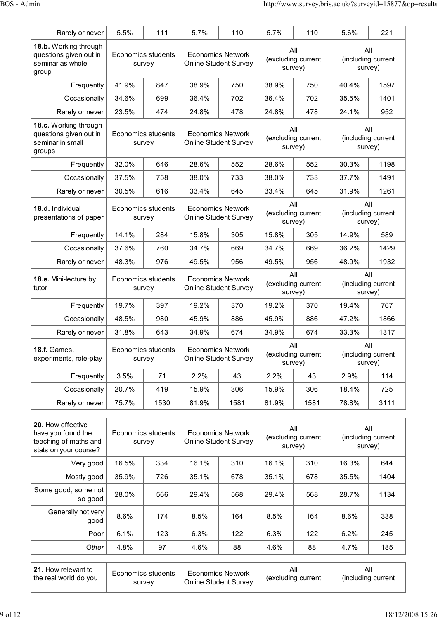| Rarely or never                                                               | 5.5%                         | 111                                 | 5.7%                                                     | 110                                                      | 5.7%                                 | 110                                  | 5.6%                                 | 221                |
|-------------------------------------------------------------------------------|------------------------------|-------------------------------------|----------------------------------------------------------|----------------------------------------------------------|--------------------------------------|--------------------------------------|--------------------------------------|--------------------|
| 18.b. Working through<br>questions given out in<br>seminar as whole<br>group  | Economics students<br>survey |                                     | <b>Economics Network</b><br><b>Online Student Survey</b> |                                                          | All<br>(excluding current<br>survey) |                                      | All<br>(including current<br>survey) |                    |
| Frequently                                                                    | 41.9%                        | 847                                 | 38.9%                                                    | 750                                                      | 38.9%                                | 750                                  | 40.4%                                | 1597               |
| Occasionally                                                                  | 34.6%                        | 699                                 | 36.4%                                                    | 702                                                      | 36.4%                                | 702                                  | 35.5%                                | 1401               |
| Rarely or never                                                               | 23.5%                        | 474                                 | 24.8%                                                    | 478                                                      | 24.8%                                | 478                                  | 24.1%                                | 952                |
| 18.c. Working through<br>questions given out in<br>seminar in small<br>groups |                              | Economics students<br>survey        |                                                          | <b>Economics Network</b><br><b>Online Student Survey</b> |                                      | All<br>(excluding current<br>survey) | All<br>survey)                       | (including current |
| Frequently                                                                    | 32.0%                        | 646                                 | 28.6%                                                    | 552                                                      | 28.6%                                | 552                                  | 30.3%                                | 1198               |
| Occasionally                                                                  | 37.5%                        | 758                                 | 38.0%                                                    | 733                                                      | 38.0%                                | 733                                  | 37.7%                                | 1491               |
| Rarely or never                                                               | 30.5%                        | 616                                 | 33.4%                                                    | 645                                                      | 33.4%                                | 645                                  | 31.9%                                | 1261               |
| 18.d. Individual<br>presentations of paper                                    |                              | <b>Economics students</b><br>survey |                                                          | <b>Economics Network</b><br><b>Online Student Survey</b> |                                      | All<br>(excluding current<br>survey) | All<br>survey)                       | (including current |
| Frequently                                                                    | 14.1%                        | 284                                 | 15.8%                                                    | 305                                                      | 15.8%                                | 305                                  | 14.9%                                | 589                |
| Occasionally                                                                  | 37.6%                        | 760                                 | 34.7%                                                    | 669                                                      | 34.7%                                | 669                                  | 36.2%                                | 1429               |
| Rarely or never                                                               | 48.3%                        | 976                                 | 49.5%                                                    | 956                                                      | 49.5%                                | 956                                  | 48.9%                                | 1932               |
| 18.e. Mini-lecture by<br>tutor                                                |                              | Economics students<br>survey        |                                                          | <b>Economics Network</b><br><b>Online Student Survey</b> |                                      | All<br>(excluding current<br>survey) | All<br>survey)                       | (including current |
| Frequently                                                                    | 19.7%                        | 397                                 | 19.2%                                                    | 370                                                      | 19.2%                                | 370                                  | 19.4%                                | 767                |
| Occasionally                                                                  | 48.5%                        | 980                                 | 45.9%                                                    | 886                                                      | 45.9%                                | 886                                  | 47.2%                                | 1866               |
| Rarely or never                                                               | 31.8%                        | 643                                 | 34.9%                                                    | 674                                                      | 34.9%                                | 674                                  | 33.3%                                | 1317               |
| <b>18.f.</b> Games,<br>experiments, role-play                                 |                              | Economics students<br>survey        |                                                          | <b>Economics Network</b><br><b>Online Student Survey</b> |                                      | All<br>(excluding current<br>survey) | All<br>survey)                       | (including current |
| Frequently                                                                    | 3.5%                         | 71                                  | 2.2%                                                     | 43                                                       | 2.2%                                 | 43                                   | 2.9%                                 | 114                |
| Occasionally                                                                  | 20.7%                        | 419                                 | 15.9%                                                    | 306                                                      | 15.9%                                | 306                                  | 18.4%                                | 725                |
| Rarely or never                                                               | 75.7%                        | 1530                                | 81.9%                                                    | 1581                                                     | 81.9%                                | 1581                                 | 78.8%                                | 3111               |

| 20. How effective<br>have you found the<br>teaching of maths and<br>stats on your course? |       | Economics students<br>survey | Economics Network<br>Online Student Survey |     | All<br>(excluding current<br>survey) |     | All<br>(including current<br>survey) |      |
|-------------------------------------------------------------------------------------------|-------|------------------------------|--------------------------------------------|-----|--------------------------------------|-----|--------------------------------------|------|
| Very good                                                                                 | 16.5% | 334                          | 16.1%                                      | 310 | 16.1%                                | 310 | 16.3%                                | 644  |
| Mostly good                                                                               | 35.9% | 726                          | 35.1%                                      | 678 | 35.1%                                | 678 | 35.5%                                | 1404 |
| Some good, some not<br>so good                                                            | 28.0% | 566                          | 29.4%                                      | 568 | 29.4%                                | 568 | 28.7%                                | 1134 |
| Generally not very<br>good                                                                | 8.6%  | 174                          | 8.5%                                       | 164 | 8.5%                                 | 164 | 8.6%                                 | 338  |
| Poor                                                                                      | 6.1%  | 123                          | 6.3%                                       | 122 | 6.3%                                 | 122 | 6.2%                                 | 245  |
| Other                                                                                     | 4.8%  | 97                           | 4.6%                                       | 88  | 4.6%                                 | 88  | 4.7%                                 | 185  |

| 21. How relevant to<br><b>Economics Network</b><br>Economics students<br>the real world do you<br>Online Student Survey<br>survev | Αll<br>(excluding current | All<br>(including current |
|-----------------------------------------------------------------------------------------------------------------------------------|---------------------------|---------------------------|
|-----------------------------------------------------------------------------------------------------------------------------------|---------------------------|---------------------------|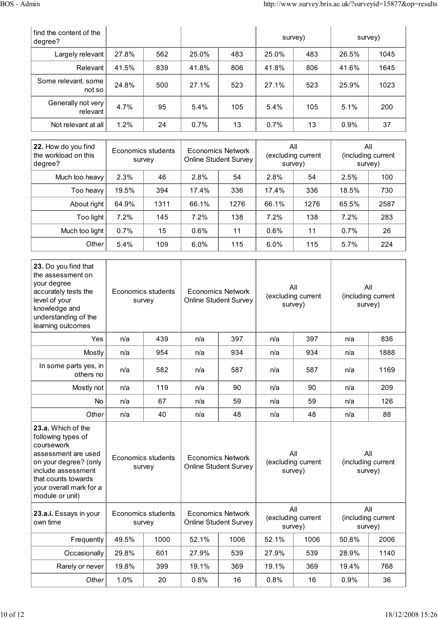| find the content of the<br>degree? |       |     |       |     | survey) |     | survey) |      |
|------------------------------------|-------|-----|-------|-----|---------|-----|---------|------|
| Largely relevant                   | 27.8% | 562 | 25.0% | 483 | 25.0%   | 483 | 26.5%   | 1045 |
| Relevant                           | 41.5% | 839 | 41.8% | 806 | 41.8%   | 806 | 41.6%   | 1645 |
| Some relevant, some<br>not so      | 24.8% | 500 | 27.1% | 523 | 27.1%   | 523 | 25.9%   | 1023 |
| Generally not very<br>relevant     | 4.7%  | 95  | 5.4%  | 105 | 5.4%    | 105 | 5.1%    | 200  |
| Not relevant at all                | 1.2%  | 24  | 0.7%  | 13  | 0.7%    | 13  | 0.9%    | 37   |

| 22. How do you find<br>the workload on this<br>degree? | Economics students<br>survey |      | Economics Network<br><b>Online Student Survey</b> |      | All<br>(excluding current<br>survey) |      | All<br>(including current<br>survey) |      |
|--------------------------------------------------------|------------------------------|------|---------------------------------------------------|------|--------------------------------------|------|--------------------------------------|------|
| Much too heavy                                         | 2.3%                         | 46   | 2.8%                                              | 54   | 2.8%                                 | 54   | 2.5%                                 | 100  |
| Too heavy                                              | 19.5%                        | 394  | 17.4%                                             | 336  | 17.4%                                | 336  | 18.5%                                | 730  |
| About right                                            | 64.9%                        | 1311 | 66.1%                                             | 1276 | 66.1%                                | 1276 | 65.5%                                | 2587 |
| Too light                                              | 7.2%                         | 145  | $7.2\%$                                           | 138  | 7.2%                                 | 138  | 7.2%                                 | 283  |
| Much too light                                         | $0.7\%$                      | 15   | $0.6\%$                                           | 11   | 0.6%                                 | 11   | 0.7%                                 | 26   |
| Other                                                  | 5.4%                         | 109  | $6.0\%$                                           | 115  | 6.0%                                 | 115  | 5.7%                                 | 224  |

| 23. Do you find that<br>the assessment on<br>your degree<br>accurately tests the<br>level of your<br>knowledge and<br>understanding of the<br>learning outcomes                                   | <b>Economics students</b><br>survey |      | <b>Economics Network</b><br><b>Online Student Survey</b> |      | All<br>(excluding current<br>survey) |      | All<br>(including current<br>survey) |      |
|---------------------------------------------------------------------------------------------------------------------------------------------------------------------------------------------------|-------------------------------------|------|----------------------------------------------------------|------|--------------------------------------|------|--------------------------------------|------|
| Yes                                                                                                                                                                                               | n/a                                 | 439  |                                                          | 397  | n/a                                  | 397  | n/a                                  | 836  |
| Mostly                                                                                                                                                                                            | n/a                                 | 954  | n/a                                                      | 934  | n/a                                  | 934  | n/a                                  | 1888 |
| In some parts yes, in<br>others no                                                                                                                                                                | n/a                                 | 582  | n/a                                                      | 587  | n/a                                  | 587  | n/a                                  | 1169 |
| Mostly not                                                                                                                                                                                        | n/a                                 | 119  | n/a                                                      | 90   | n/a                                  | 90   | n/a                                  | 209  |
| <b>No</b>                                                                                                                                                                                         | n/a                                 | 67   | n/a                                                      | 59   | n/a                                  | 59   | n/a                                  | 126  |
| Other                                                                                                                                                                                             | n/a                                 | 40   | n/a                                                      | 48   | n/a                                  | 48   | n/a                                  | 88   |
| 23.a. Which of the<br>following types of<br>coursework<br>assessment are used<br>on your degree? (only<br>include assessment<br>that counts towards<br>your overall mark for a<br>module or unit) | <b>Economics students</b><br>survey |      | <b>Economics Network</b><br><b>Online Student Survey</b> |      | All<br>(excluding current<br>survey) |      | All<br>(including current<br>survey) |      |
| 23.a.i. Essays in your<br>own time                                                                                                                                                                | Economics students<br>survey        |      | <b>Economics Network</b><br><b>Online Student Survey</b> |      | All<br>(excluding current<br>survey) |      | All<br>(including current<br>survey) |      |
| Frequently                                                                                                                                                                                        | 49.5%                               | 1000 | 52.1%                                                    | 1006 | 52.1%                                | 1006 | 50.8%                                | 2006 |
| Occasionally                                                                                                                                                                                      | 29.8%                               | 601  | 27.9%                                                    | 539  | 27.9%                                | 539  | 28.9%                                | 1140 |
| Rarely or never                                                                                                                                                                                   | 19.8%                               | 399  | 19.1%                                                    | 369  | 19.1%                                | 369  | 19.4%                                | 768  |
| Other                                                                                                                                                                                             | 1.0%                                | 20   | 0.8%                                                     | 16   | 0.8%                                 | 16   | 0.9%                                 | 36   |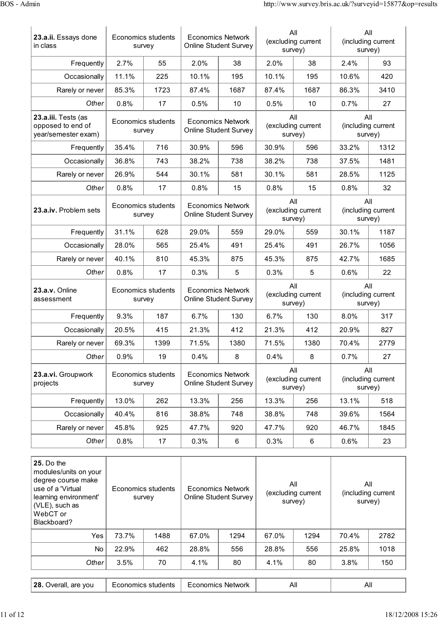| 23.a.ii. Essays done<br>in class                                | <b>Economics students</b><br><b>Economics Network</b><br><b>Online Student Survey</b><br>survey |                              |                                                          |                                                          | All<br>(excluding current<br>survey) | All<br>(including current<br>survey) |                                      |                                      |  |
|-----------------------------------------------------------------|-------------------------------------------------------------------------------------------------|------------------------------|----------------------------------------------------------|----------------------------------------------------------|--------------------------------------|--------------------------------------|--------------------------------------|--------------------------------------|--|
| Frequently                                                      | 2.7%                                                                                            | 55                           | 2.0%                                                     | 38                                                       | 2.0%                                 | 38                                   | 2.4%                                 | 93                                   |  |
| Occasionally                                                    | 11.1%                                                                                           | 225                          | 10.1%                                                    | 195                                                      | 10.1%                                | 195                                  | 10.6%                                | 420                                  |  |
| Rarely or never                                                 | 85.3%                                                                                           | 1723                         | 87.4%                                                    | 1687                                                     | 87.4%                                | 1687                                 | 86.3%                                | 3410                                 |  |
| Other                                                           | 0.8%                                                                                            | 17                           | 0.5%                                                     | 10                                                       | 0.5%                                 | 10                                   | 0.7%                                 | 27                                   |  |
| 23.a.iii. Tests (as<br>opposed to end of<br>year/semester exam) | Economics students<br>survey                                                                    |                              |                                                          | <b>Economics Network</b><br><b>Online Student Survey</b> |                                      | All<br>(excluding current<br>survey) |                                      | All<br>(including current<br>survey) |  |
| Frequently                                                      | 35.4%                                                                                           | 716                          | 30.9%                                                    | 596                                                      | 30.9%                                | 596                                  | 33.2%                                | 1312                                 |  |
| Occasionally                                                    | 36.8%                                                                                           | 743                          | 38.2%                                                    | 738                                                      | 38.2%                                | 738                                  | 37.5%                                | 1481                                 |  |
| Rarely or never                                                 | 26.9%                                                                                           | 544                          | 30.1%                                                    | 581                                                      | 30.1%                                | 581                                  | 28.5%                                | 1125                                 |  |
| Other                                                           | 0.8%                                                                                            | 17                           | 0.8%                                                     | 15                                                       | 0.8%                                 | 15                                   | 0.8%                                 | 32                                   |  |
| 23.a.iv. Problem sets                                           | Economics students<br>survey                                                                    |                              | <b>Economics Network</b><br><b>Online Student Survey</b> |                                                          | All<br>(excluding current<br>survey) |                                      | All<br>(including current<br>survey) |                                      |  |
| Frequently                                                      | 31.1%                                                                                           | 628                          | 29.0%                                                    | 559                                                      | 29.0%                                | 559                                  | 30.1%                                | 1187                                 |  |
| Occasionally                                                    | 28.0%                                                                                           | 565                          | 25.4%                                                    | 491                                                      | 25.4%                                | 491                                  | 26.7%                                | 1056                                 |  |
| Rarely or never                                                 | 40.1%                                                                                           | 810                          | 45.3%                                                    | 875                                                      | 45.3%                                | 875                                  | 42.7%                                | 1685                                 |  |
| Other                                                           | 0.8%                                                                                            | 17                           | 0.3%                                                     | 5                                                        | 0.3%                                 | 5                                    | 0.6%                                 | 22                                   |  |
| 23.a.v. Online<br>assessment                                    | Economics students<br>survey                                                                    |                              | <b>Economics Network</b><br>Online Student Survey        |                                                          | All<br>(excluding current<br>survey) |                                      | All<br>(including current<br>survey) |                                      |  |
| Frequently                                                      | 9.3%                                                                                            | 187                          | 6.7%                                                     | 130                                                      | 6.7%                                 | 130                                  | 8.0%                                 | 317                                  |  |
| Occasionally                                                    | 20.5%                                                                                           | 415                          | 21.3%                                                    | 412                                                      | 21.3%                                | 412                                  | 20.9%                                | 827                                  |  |
| Rarely or never                                                 | 69.3%                                                                                           | 1399                         | 71.5%                                                    | 1380                                                     | 71.5%                                | 1380                                 | 70.4%                                | 2779                                 |  |
| Other                                                           | 0.9%                                                                                            | 19                           | 0.4%                                                     | 8                                                        | 0.4%                                 | 8                                    | 0.7%                                 | 27                                   |  |
| 23.a.vi. Groupwork<br>projects                                  |                                                                                                 | Economics students<br>survey | <b>Economics Network</b><br>Online Student Survey        |                                                          | All<br>(excluding current<br>survey) |                                      | All<br>(including current<br>survey) |                                      |  |
| Frequently                                                      | 13.0%                                                                                           | 262                          | 13.3%                                                    | 256                                                      | 13.3%                                | 256                                  | 13.1%                                | 518                                  |  |
| Occasionally                                                    | 40.4%                                                                                           | 816                          | 38.8%                                                    | 748                                                      | 38.8%                                | 748                                  | 39.6%                                | 1564                                 |  |
| Rarely or never                                                 | 45.8%                                                                                           | 925                          | 47.7%                                                    | 920                                                      | 47.7%                                | 920                                  | 46.7%                                | 1845                                 |  |
| Other                                                           | 0.8%                                                                                            | 17                           | 0.3%                                                     | 6                                                        | 0.3%                                 | 6                                    | 0.6%                                 | 23                                   |  |

| <b>25.</b> Do the<br>modules/units on your<br>degree course make<br>use of a 'Virtual<br>learning environment'<br>(VLE), such as<br>WebCT or<br>Blackboard? |       | Economics students<br>survey |       | <b>Economics Network</b><br><b>Online Student Survey</b> |       | All<br>(excluding current<br>survey) |         | All<br>(including current<br>survey) |  |
|-------------------------------------------------------------------------------------------------------------------------------------------------------------|-------|------------------------------|-------|----------------------------------------------------------|-------|--------------------------------------|---------|--------------------------------------|--|
| Yes                                                                                                                                                         | 73.7% | 1488                         | 67.0% | 1294                                                     | 67.0% | 1294                                 | 70.4%   | 2782                                 |  |
| <b>No</b>                                                                                                                                                   | 22.9% | 462                          | 28.8% | 556                                                      | 28.8% | 556                                  | 25.8%   | 1018                                 |  |
| Other                                                                                                                                                       | 3.5%  | 70                           | 4.1%  | 80                                                       | 4.1%  | 80                                   | $3.8\%$ | 150                                  |  |
|                                                                                                                                                             |       |                              |       |                                                          |       |                                      |         |                                      |  |

| ່ 28. ∈<br>are vou<br>Overall, | students<br>nomics | conomics<br>Network | Al. | All |
|--------------------------------|--------------------|---------------------|-----|-----|
|                                |                    |                     |     |     |